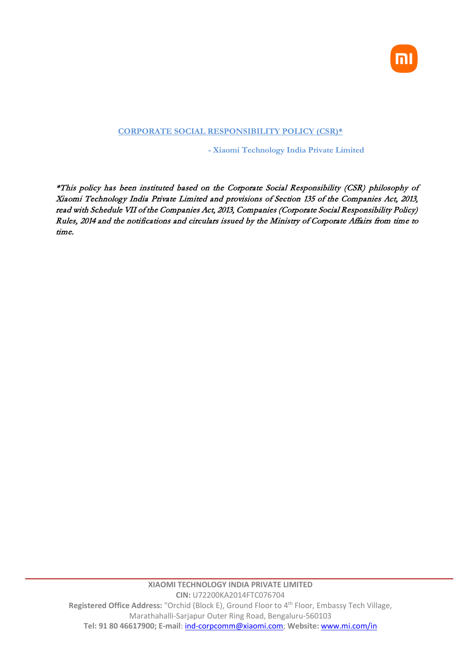

# **CORPORATE SOCIAL RESPONSIBILITY POLICY (CSR)\***

**- Xiaomi Technology India Private Limited**

\*This policy has been instituted based on the Corporate Social Responsibility (CSR) philosophy of Xiaomi Technology India Private Limited and provisions of Section 135 of the Companies Act, 2013, read with Schedule VII of the Companies Act, 2013, Companies (Corporate Social Responsibility Policy) Rules, 2014 and the notifications and circulars issued by the Ministry of Corporate Affairs from time to time.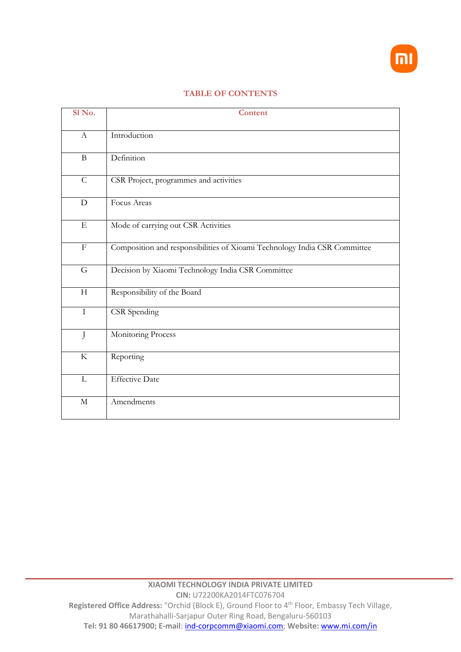

### **TABLE OF CONTENTS**

| Sl No.           | <b>Content</b>                                                            |
|------------------|---------------------------------------------------------------------------|
| $\boldsymbol{A}$ | Introduction                                                              |
| $\bf{B}$         | Definition                                                                |
| $\mathcal{C}$    | CSR Project, programmes and activities                                    |
| $\mathbf D$      | Focus Areas                                                               |
| ${\bf E}$        | Mode of carrying out CSR Activities                                       |
| $\mathbf F$      | Composition and responsibilities of Xioami Technology India CSR Committee |
| G                | Decision by Xiaomi Technology India CSR Committee                         |
| H                | Responsibility of the Board                                               |
| $\mathbf I$      | CSR Spending                                                              |
| $\mathbf{J}$     | Monitoring Process                                                        |
| $\rm K$          | Reporting                                                                 |
| L                | Effective Date                                                            |
| $\mathbf M$      | Amendments                                                                |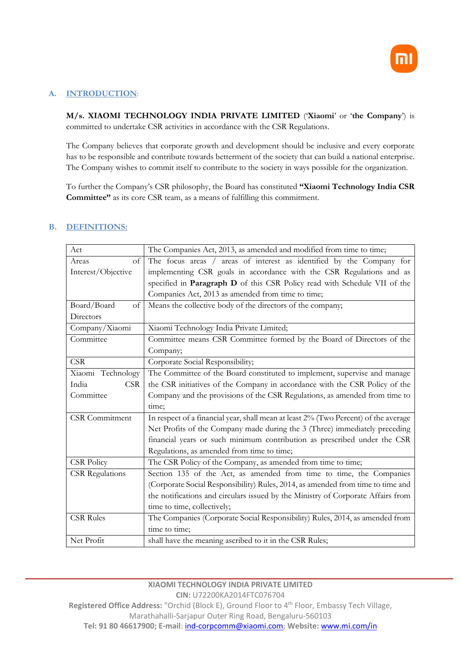

## **A. INTRODUCTION**:

**M/s. XIAOMI TECHNOLOGY INDIA PRIVATE LIMITED** ('**Xiaomi**' or '**the Company**') is committed to undertake CSR activities in accordance with the CSR Regulations.

The Company believes that corporate growth and development should be inclusive and every corporate has to be responsible and contribute towards betterment of the society that can build a national enterprise. The Company wishes to commit itself to contribute to the society in ways possible for the organization.

To further the Company's CSR philosophy, the Board has constituted **"Xiaomi Technology India CSR Committee"** as its core CSR team, as a means of fulfilling this commitment.

### **B. DEFINITIONS:**

| Act                    | The Companies Act, 2013, as amended and modified from time to time;                 |
|------------------------|-------------------------------------------------------------------------------------|
| $\sigma$<br>Areas      | The focus areas / areas of interest as identified by the Company for                |
| Interest/Objective     | implementing CSR goals in accordance with the CSR Regulations and as                |
|                        | specified in Paragraph D of this CSR Policy read with Schedule VII of the           |
|                        | Companies Act, 2013 as amended from time to time;                                   |
| Board/Board<br>of      | Means the collective body of the directors of the company;                          |
| Directors              |                                                                                     |
| Company/Xiaomi         | Xiaomi Technology India Private Limited;                                            |
| Committee              | Committee means CSR Committee formed by the Board of Directors of the               |
|                        | Company;                                                                            |
| <b>CSR</b>             | Corporate Social Responsibility;                                                    |
| Xiaomi Technology      | The Committee of the Board constituted to implement, supervise and manage           |
| <b>CSR</b><br>India    | the CSR initiatives of the Company in accordance with the CSR Policy of the         |
| Committee              | Company and the provisions of the CSR Regulations, as amended from time to          |
|                        | time;                                                                               |
| <b>CSR</b> Commitment  | In respect of a financial year, shall mean at least 2% (Two Percent) of the average |
|                        | Net Profits of the Company made during the 3 (Three) immediately preceding          |
|                        | financial years or such minimum contribution as prescribed under the CSR            |
|                        | Regulations, as amended from time to time;                                          |
| <b>CSR Policy</b>      | The CSR Policy of the Company, as amended from time to time;                        |
| <b>CSR</b> Regulations | Section 135 of the Act, as amended from time to time, the Companies                 |
|                        | (Corporate Social Responsibility) Rules, 2014, as amended from time to time and     |
|                        | the notifications and circulars issued by the Ministry of Corporate Affairs from    |
|                        | time to time, collectively;                                                         |
| <b>CSR Rules</b>       | The Companies (Corporate Social Responsibility) Rules, 2014, as amended from        |
|                        | time to time;                                                                       |
| Net Profit             | shall have the meaning ascribed to it in the CSR Rules;                             |

#### **XIAOMI TECHNOLOGY INDIA PRIVATE LIMITED CIN:** U72200KA2014FTC076704

**Registered Office Address:** "Orchid (Block E), Ground Floor to 4th Floor, Embassy Tech Village, Marathahalli-Sarjapur Outer Ring Road, Bengaluru-560103

**Tel: 91 80 46617900; E-mail**: [ind-corpcomm@xiaomi.com;](mailto:ind-corpcomm@xiaomi.com) **Website:** [www.mi.com/in](http://www.mi.com/in)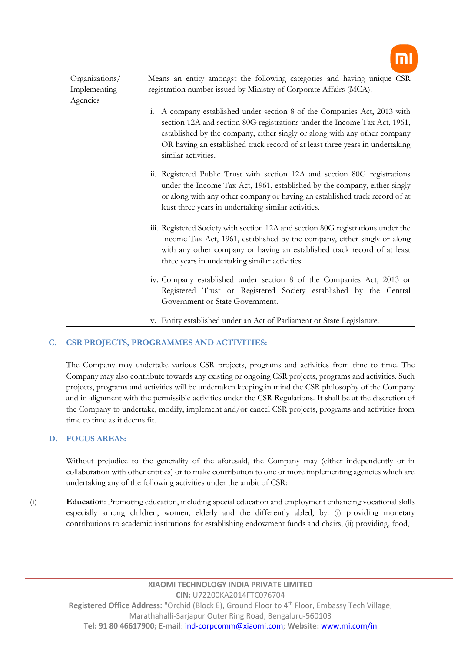| Organizations/ | Means an entity amongst the following categories and having unique CSR                                                                                                                                                                                                                                                                       |  |  |
|----------------|----------------------------------------------------------------------------------------------------------------------------------------------------------------------------------------------------------------------------------------------------------------------------------------------------------------------------------------------|--|--|
| Implementing   | registration number issued by Ministry of Corporate Affairs (MCA):                                                                                                                                                                                                                                                                           |  |  |
| Agencies       |                                                                                                                                                                                                                                                                                                                                              |  |  |
|                | A company established under section 8 of the Companies Act, 2013 with<br>1.<br>section 12A and section 80G registrations under the Income Tax Act, 1961,<br>established by the company, either singly or along with any other company<br>OR having an established track record of at least three years in undertaking<br>similar activities. |  |  |
|                | ii. Registered Public Trust with section 12A and section 80G registrations<br>under the Income Tax Act, 1961, established by the company, either singly<br>or along with any other company or having an established track record of at<br>least three years in undertaking similar activities.                                               |  |  |
|                | iii. Registered Society with section 12A and section 80G registrations under the<br>Income Tax Act, 1961, established by the company, either singly or along<br>with any other company or having an established track record of at least<br>three years in undertaking similar activities.                                                   |  |  |
|                | iv. Company established under section 8 of the Companies Act, 2013 or<br>Registered Trust or Registered Society established by the Central<br>Government or State Government.                                                                                                                                                                |  |  |
|                | v. Entity established under an Act of Parliament or State Legislature.                                                                                                                                                                                                                                                                       |  |  |

# **C. CSR PROJECTS, PROGRAMMES AND ACTIVITIES:**

The Company may undertake various CSR projects, programs and activities from time to time. The Company may also contribute towards any existing or ongoing CSR projects, programs and activities. Such projects, programs and activities will be undertaken keeping in mind the CSR philosophy of the Company and in alignment with the permissible activities under the CSR Regulations. It shall be at the discretion of the Company to undertake, modify, implement and/or cancel CSR projects, programs and activities from time to time as it deems fit.

### **D. FOCUS AREAS:**

Without prejudice to the generality of the aforesaid, the Company may (either independently or in collaboration with other entities) or to make contribution to one or more implementing agencies which are undertaking any of the following activities under the ambit of CSR:

(i) **Education**: Promoting education, including special education and employment enhancing vocational skills especially among children, women, elderly and the differently abled, by: (i) providing monetary contributions to academic institutions for establishing endowment funds and chairs; (ii) providing, food,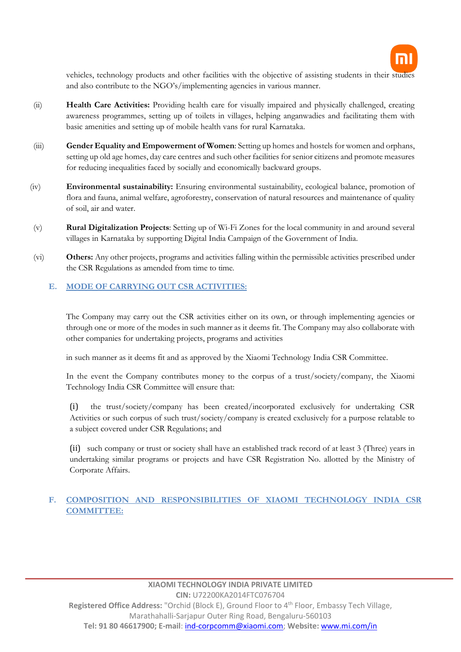

vehicles, technology products and other facilities with the objective of assisting students in their studies and also contribute to the NGO's/implementing agencies in various manner.

- (ii) **Health Care Activities:** Providing health care for visually impaired and physically challenged, creating awareness programmes, setting up of toilets in villages, helping anganwadies and facilitating them with basic amenities and setting up of mobile health vans for rural Karnataka.
- (iii) **Gender Equality and Empowerment of Women**: Setting up homes and hostels for women and orphans, setting up old age homes, day care centres and such other facilities for senior citizens and promote measures for reducing inequalities faced by socially and economically backward groups.
- (iv) **Environmental sustainability:** Ensuring environmental sustainability, ecological balance, promotion of flora and fauna, animal welfare, agroforestry, conservation of natural resources and maintenance of quality of soil, air and water.
- (v) **Rural Digitalization Projects**: Setting up of Wi-Fi Zones for the local community in and around several villages in Karnataka by supporting Digital India Campaign of the Government of India.
- (vi) **Others:** Any other projects, programs and activities falling within the permissible activities prescribed under the CSR Regulations as amended from time to time.

# **E. MODE OF CARRYING OUT CSR ACTIVITIES:**

The Company may carry out the CSR activities either on its own, or through implementing agencies or through one or more of the modes in such manner as it deems fit. The Company may also collaborate with other companies for undertaking projects, programs and activities

in such manner as it deems fit and as approved by the Xiaomi Technology India CSR Committee.

In the event the Company contributes money to the corpus of a trust/society/company, the Xiaomi Technology India CSR Committee will ensure that:

(i) the trust/society/company has been created/incorporated exclusively for undertaking CSR Activities or such corpus of such trust/society/company is created exclusively for a purpose relatable to a subject covered under CSR Regulations; and

(ii) such company or trust or society shall have an established track record of at least 3 (Three) years in undertaking similar programs or projects and have CSR Registration No. allotted by the Ministry of Corporate Affairs.

# **F. COMPOSITION AND RESPONSIBILITIES OF XIAOMI TECHNOLOGY INDIA CSR COMMITTEE:**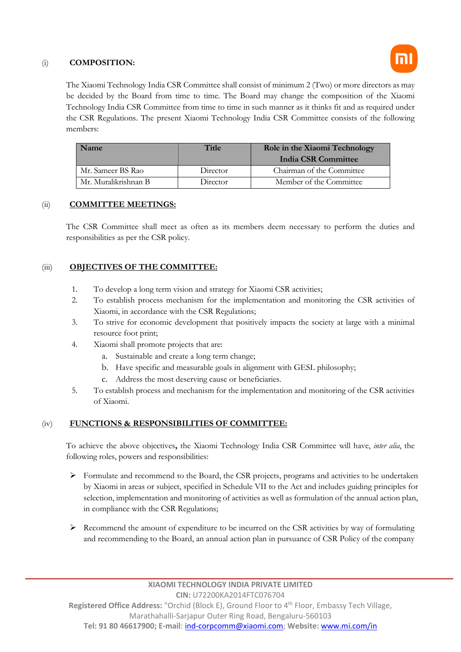## (i) **COMPOSITION:**

The Xiaomi Technology India CSR Committee shall consist of minimum 2 (Two) or more directors as may be decided by the Board from time to time. The Board may change the composition of the Xiaomi Technology India CSR Committee from time to time in such manner as it thinks fit and as required under the CSR Regulations. The present Xiaomi Technology India CSR Committee consists of the following members:

| Name                 | <b>Title</b> | Role in the Xiaomi Technology<br>India CSR Committee |
|----------------------|--------------|------------------------------------------------------|
| Mr. Sameer BS Rao    | Director     | Chairman of the Committee                            |
| Mr. Muralikrishnan B | Director     | Member of the Committee                              |

# (ii) **COMMITTEE MEETINGS:**

The CSR Committee shall meet as often as its members deem necessary to perform the duties and responsibilities as per the CSR policy.

# (iii) **OBJECTIVES OF THE COMMITTEE:**

- 1. To develop a long term vision and strategy for Xiaomi CSR activities;
- 2. To establish process mechanism for the implementation and monitoring the CSR activities of Xiaomi, in accordance with the CSR Regulations;
- 3. To strive for economic development that positively impacts the society at large with a minimal resource foot print;
- 4. Xiaomi shall promote projects that are:
	- a. Sustainable and create a long term change;
	- b. Have specific and measurable goals in alignment with GESL philosophy;
	- c. Address the most deserving cause or beneficiaries.
- 5. To establish process and mechanism for the implementation and monitoring of the CSR activities of Xiaomi.

# (iv) **FUNCTIONS & RESPONSIBILITIES OF COMMITTEE:**

To achieve the above objectives**,** the Xiaomi Technology India CSR Committee will have, *inter alia*, the following roles, powers and responsibilities:

- $\triangleright$  Formulate and recommend to the Board, the CSR projects, programs and activities to be undertaken by Xiaomi in areas or subject, specified in Schedule VII to the Act and includes guiding principles for selection, implementation and monitoring of activities as well as formulation of the annual action plan, in compliance with the CSR Regulations;
- Recommend the amount of expenditure to be incurred on the CSR activities by way of formulating and recommending to the Board, an annual action plan in pursuance of CSR Policy of the company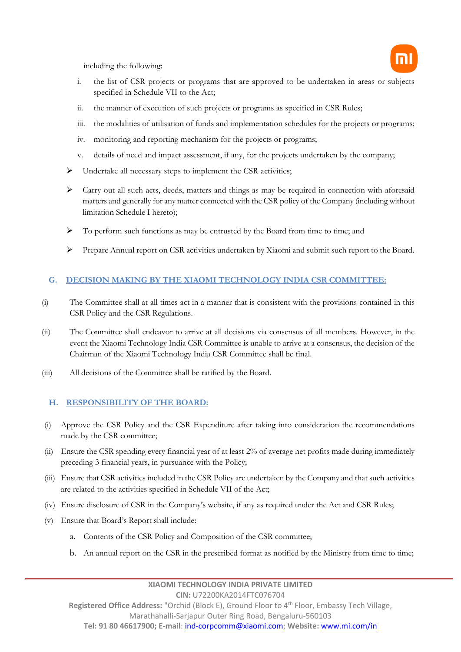including the following:



- i. the list of CSR projects or programs that are approved to be undertaken in areas or subjects specified in Schedule VII to the Act;
- ii. the manner of execution of such projects or programs as specified in CSR Rules;
- iii. the modalities of utilisation of funds and implementation schedules for the projects or programs;
- iv. monitoring and reporting mechanism for the projects or programs;
- v. details of need and impact assessment, if any, for the projects undertaken by the company;
- $\triangleright$  Undertake all necessary steps to implement the CSR activities;
- Carry out all such acts, deeds, matters and things as may be required in connection with aforesaid matters and generally for any matter connected with the CSR policy of the Company (including without limitation Schedule I hereto);
- $\triangleright$  To perform such functions as may be entrusted by the Board from time to time; and
- Prepare Annual report on CSR activities undertaken by Xiaomi and submit such report to the Board.

# **G. DECISION MAKING BY THE XIAOMI TECHNOLOGY INDIA CSR COMMITTEE:**

- (i) The Committee shall at all times act in a manner that is consistent with the provisions contained in this CSR Policy and the CSR Regulations.
- (ii) The Committee shall endeavor to arrive at all decisions via consensus of all members. However, in the event the Xiaomi Technology India CSR Committee is unable to arrive at a consensus, the decision of the Chairman of the Xiaomi Technology India CSR Committee shall be final.
- (iii) All decisions of the Committee shall be ratified by the Board.

# **H. RESPONSIBILITY OF THE BOARD:**

- (i) Approve the CSR Policy and the CSR Expenditure after taking into consideration the recommendations made by the CSR committee;
- (ii) Ensure the CSR spending every financial year of at least 2% of average net profits made during immediately preceding 3 financial years, in pursuance with the Policy;
- (iii) Ensure that CSR activities included in the CSR Policy are undertaken by the Company and that such activities are related to the activities specified in Schedule VII of the Act;
- (iv) Ensure disclosure of CSR in the Company's website, if any as required under the Act and CSR Rules;
- (v) Ensure that Board's Report shall include:
	- a. Contents of the CSR Policy and Composition of the CSR committee;
	- b. An annual report on the CSR in the prescribed format as notified by the Ministry from time to time;

**Registered Office Address:** "Orchid (Block E), Ground Floor to 4th Floor, Embassy Tech Village, Marathahalli-Sarjapur Outer Ring Road, Bengaluru-560103

**Tel: 91 80 46617900; E-mail**: [ind-corpcomm@xiaomi.com;](mailto:ind-corpcomm@xiaomi.com) **Website:** [www.mi.com/in](http://www.mi.com/in)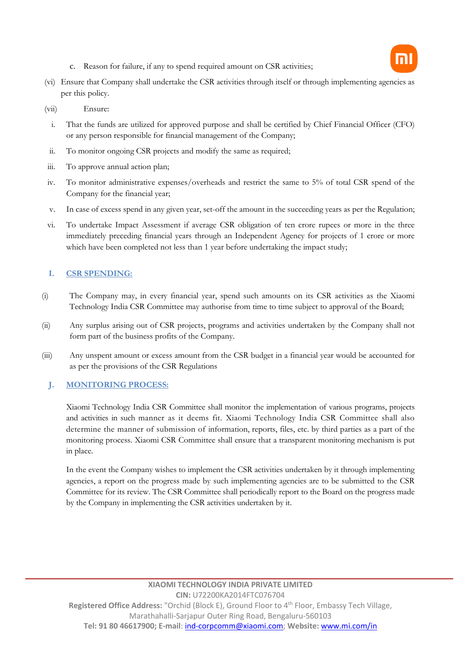

- c. Reason for failure, if any to spend required amount on CSR activities;
- (vi) Ensure that Company shall undertake the CSR activities through itself or through implementing agencies as per this policy.
- (vii) Ensure:
- i. That the funds are utilized for approved purpose and shall be certified by Chief Financial Officer (CFO) or any person responsible for financial management of the Company;
- ii. To monitor ongoing CSR projects and modify the same as required;
- iii. To approve annual action plan;
- iv. To monitor administrative expenses/overheads and restrict the same to 5% of total CSR spend of the Company for the financial year;
- v. In case of excess spend in any given year, set-off the amount in the succeeding years as per the Regulation;
- vi. To undertake Impact Assessment if average CSR obligation of ten crore rupees or more in the three immediately preceding financial years through an Independent Agency for projects of 1 crore or more which have been completed not less than 1 year before undertaking the impact study;

# **I. CSR SPENDING:**

- (i) The Company may, in every financial year, spend such amounts on its CSR activities as the Xiaomi Technology India CSR Committee may authorise from time to time subject to approval of the Board;
- (ii) Any surplus arising out of CSR projects, programs and activities undertaken by the Company shall not form part of the business profits of the Company.
- (iii) Any unspent amount or excess amount from the CSR budget in a financial year would be accounted for as per the provisions of the CSR Regulations

### **J. MONITORING PROCESS:**

Xiaomi Technology India CSR Committee shall monitor the implementation of various programs, projects and activities in such manner as it deems fit. Xiaomi Technology India CSR Committee shall also determine the manner of submission of information, reports, files, etc. by third parties as a part of the monitoring process. Xiaomi CSR Committee shall ensure that a transparent monitoring mechanism is put in place.

In the event the Company wishes to implement the CSR activities undertaken by it through implementing agencies, a report on the progress made by such implementing agencies are to be submitted to the CSR Committee for its review. The CSR Committee shall periodically report to the Board on the progress made by the Company in implementing the CSR activities undertaken by it.